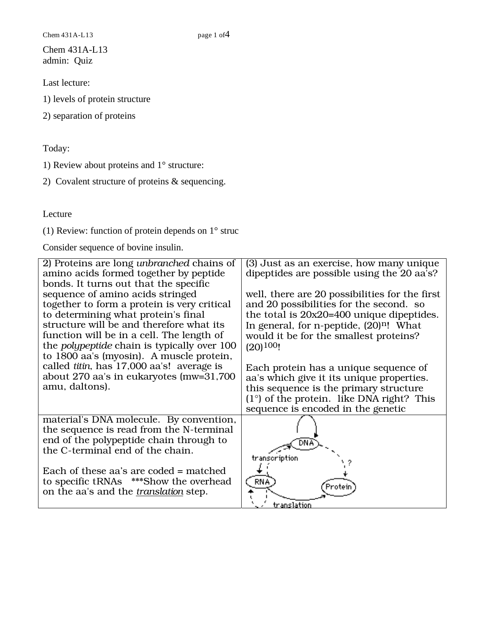Chem 431A-L13 page 1 of 4

Chem 431A-L13 admin: Quiz

Last lecture:

1) levels of protein structure

2) separation of proteins

Today:

1) Review about proteins and 1° structure:

2) Covalent structure of proteins & sequencing.

Lecture

(1) Review: function of protein depends on 1° struc

Consider sequence of bovine insulin.

| 2) Proteins are long <i>unbranched</i> chains of<br>amino acids formed together by peptide | (3) Just as an exercise, how many unique<br>dipeptides are possible using the 20 aa's? |
|--------------------------------------------------------------------------------------------|----------------------------------------------------------------------------------------|
| bonds. It turns out that the specific                                                      |                                                                                        |
| sequence of amino acids stringed                                                           | well, there are 20 possibilities for the first                                         |
| together to form a protein is very critical                                                | and 20 possibilities for the second. so                                                |
| to determining what protein's final                                                        | the total is $20x20=400$ unique dipeptides.                                            |
| structure will be and therefore what its                                                   | In general, for n-peptide, $(20)^{n}$ ! What                                           |
| function will be in a cell. The length of                                                  | would it be for the smallest proteins?                                                 |
| the <i>polypeptide</i> chain is typically over 100                                         | $(20)$ <sup>100</sup> !                                                                |
| to 1800 aa's (myosin). A muscle protein,                                                   |                                                                                        |
| called titin, has 17,000 aa's! average is                                                  | Each protein has a unique sequence of                                                  |
| about 270 aa's in eukaryotes (mw=31,700                                                    | aa's which give it its unique properties.                                              |
| amu, daltons).                                                                             | this sequence is the primary structure                                                 |
|                                                                                            | $(1^{\circ})$ of the protein. like DNA right? This                                     |
|                                                                                            | sequence is encoded in the genetic                                                     |
| material's DNA molecule. By convention,                                                    |                                                                                        |
| the sequence is read from the N-terminal                                                   |                                                                                        |
| end of the polypeptide chain through to                                                    |                                                                                        |
| the C-terminal end of the chain.                                                           |                                                                                        |
|                                                                                            | transcription                                                                          |
| Each of these aa's are coded = matched                                                     |                                                                                        |
| to specific tRNAs ***Show the overhead                                                     | <b>RNA</b><br>Protein                                                                  |
| on the aa's and the <i>translation</i> step.                                               |                                                                                        |
|                                                                                            | translation                                                                            |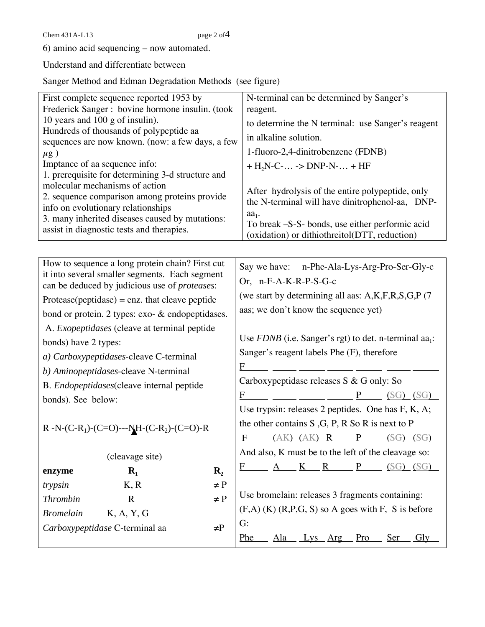Chem 431 A-L13 page 2 of 4

6) amino acid sequencing – now automated.

Understand and differentiate between

Sanger Method and Edman Degradation Methods (see figure)

| First complete sequence reported 1953 by                                                    |                                                   |                                                                   | N-terminal can be determined by Sanger's                                                         |                                 |                                    |  |              |                  |     |
|---------------------------------------------------------------------------------------------|---------------------------------------------------|-------------------------------------------------------------------|--------------------------------------------------------------------------------------------------|---------------------------------|------------------------------------|--|--------------|------------------|-----|
| Frederick Sanger : bovine hormone insulin. (took                                            |                                                   |                                                                   | reagent.                                                                                         |                                 |                                    |  |              |                  |     |
| 10 years and 100 g of insulin).                                                             |                                                   |                                                                   | to determine the N terminal: use Sanger's reagent                                                |                                 |                                    |  |              |                  |     |
| Hundreds of thousands of polypeptide aa<br>sequences are now known. (now: a few days, a few |                                                   |                                                                   | in alkaline solution.                                                                            |                                 |                                    |  |              |                  |     |
| $\mu$ g)                                                                                    |                                                   |                                                                   |                                                                                                  |                                 | 1-fluoro-2,4-dinitrobenzene (FDNB) |  |              |                  |     |
| Imptance of aa sequence info:                                                               |                                                   |                                                                   |                                                                                                  |                                 | + $H_2N$ -C- -> DNP-N- + HF        |  |              |                  |     |
|                                                                                             | 1. prerequisite for determining 3-d structure and |                                                                   |                                                                                                  |                                 |                                    |  |              |                  |     |
| molecular mechanisms of action<br>2. sequence comparison among proteins provide             |                                                   |                                                                   | After hydrolysis of the entire polypeptide, only                                                 |                                 |                                    |  |              |                  |     |
|                                                                                             |                                                   |                                                                   | the N-terminal will have dinitrophenol-aa, DNP-                                                  |                                 |                                    |  |              |                  |     |
| info on evolutionary relationships<br>3. many inherited diseases caused by mutations:       |                                                   |                                                                   | $aa_1$ .                                                                                         |                                 |                                    |  |              |                  |     |
| assist in diagnostic tests and therapies.                                                   |                                                   |                                                                   | To break -S-S- bonds, use either performic acid<br>(oxidation) or dithiothreitol(DTT, reduction) |                                 |                                    |  |              |                  |     |
|                                                                                             |                                                   |                                                                   |                                                                                                  |                                 |                                    |  |              |                  |     |
| How to sequence a long protein chain? First cut                                             |                                                   |                                                                   | Say we have: n-Phe-Ala-Lys-Arg-Pro-Ser-Gly-c                                                     |                                 |                                    |  |              |                  |     |
| it into several smaller segments. Each segment                                              |                                                   |                                                                   |                                                                                                  |                                 |                                    |  |              |                  |     |
| can be deduced by judicious use of proteases:                                               |                                                   |                                                                   | Or, n-F-A-K-R-P-S-G-c<br>(we start by determining all aas: A,K,F,R,S,G,P (7)                     |                                 |                                    |  |              |                  |     |
| $Protease(peptidase) = enz.$ that cleave peptide                                            |                                                   |                                                                   | aas; we don't know the sequence yet)                                                             |                                 |                                    |  |              |                  |     |
| bond or protein. 2 types: exo- & endopeptidases.                                            |                                                   |                                                                   |                                                                                                  |                                 |                                    |  |              |                  |     |
| A. <i>Exopeptidases</i> (cleave at terminal peptide                                         |                                                   |                                                                   |                                                                                                  |                                 |                                    |  |              |                  |     |
| bonds) have 2 types:                                                                        |                                                   |                                                                   | Use FDNB (i.e. Sanger's rgt) to det. n-terminal aa <sub>1</sub> :                                |                                 |                                    |  |              |                  |     |
| a) Carboxypeptidases-cleave C-terminal                                                      |                                                   |                                                                   | Sanger's reagent labels Phe (F), therefore                                                       |                                 |                                    |  |              |                  |     |
| b) Aminopeptidases-cleave N-terminal                                                        |                                                   |                                                                   |                                                                                                  |                                 |                                    |  |              |                  |     |
| B. Endopeptidases(cleave internal peptide                                                   |                                                   |                                                                   | Carboxypeptidase releases S & G only: So                                                         |                                 |                                    |  |              |                  |     |
| bonds). See below:                                                                          |                                                   |                                                                   |                                                                                                  |                                 |                                    |  |              |                  |     |
|                                                                                             |                                                   |                                                                   | Use trypsin: releases 2 peptides. One has F, K, A;                                               |                                 |                                    |  |              |                  |     |
| R -N-(C-R <sub>1</sub> )-(C=O)---NH-(C-R <sub>2</sub> )-(C=O)-R                             |                                                   | the other contains $S$ , $G$ , $P$ , $R$ $S$ o $R$ is next to $P$ |                                                                                                  |                                 |                                    |  |              |                  |     |
|                                                                                             |                                                   |                                                                   |                                                                                                  | $F$ (AK) (AK) $R$ $P$ (SG) (SG) |                                    |  |              |                  |     |
|                                                                                             | (cleavage site)                                   |                                                                   | And also, K must be to the left of the cleavage so:                                              |                                 |                                    |  |              |                  |     |
| enzyme                                                                                      | $\mathbf{R}_{1}$                                  | $\mathbf{R}_{2}$                                                  |                                                                                                  |                                 | $K$ R                              |  | $\mathbf{P}$ | <u>(SG) (SG)</u> |     |
| trypsin                                                                                     | K, R                                              | $\neq$ P                                                          |                                                                                                  |                                 |                                    |  |              |                  |     |
| <b>Thrombin</b>                                                                             | $\mathbf R$                                       | $\neq P$                                                          | Use bromelain: releases 3 fragments containing:                                                  |                                 |                                    |  |              |                  |     |
| <b>Bromelain</b>                                                                            | K, A, Y, G                                        |                                                                   | $(F,A)$ (K) $(R,P,G, S)$ so A goes with F, S is before                                           |                                 |                                    |  |              |                  |     |
| Carboxypeptidase C-terminal aa<br>$\neq P$                                                  |                                                   |                                                                   | G:                                                                                               |                                 |                                    |  |              |                  |     |
|                                                                                             |                                                   |                                                                   | <b>Phe</b>                                                                                       | <u>Ala</u>                      | <u>_ Lys Arg Pro</u>               |  |              | <u>Ser</u>       | Gly |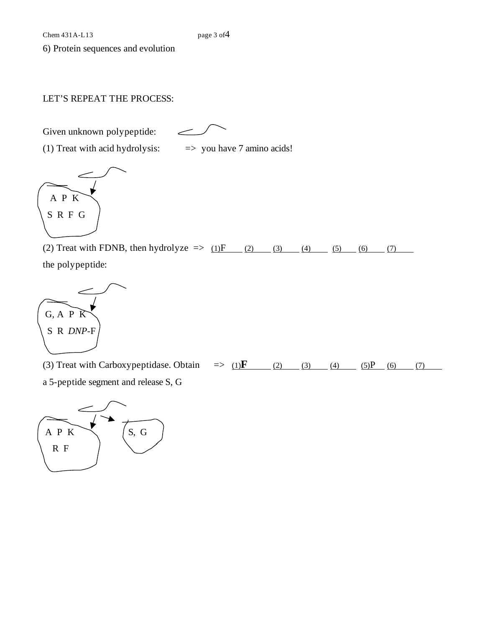6) Protein sequences and evolution

## LET'S REPEAT THE PROCESS:

Given unknown polypeptide:

 $\overline{\phantom{0}}$ 

(1) Treat with acid hydrolysis:  $\implies$  you have 7 amino acids!



(2) Treat with FDNB, then hydrolyze  $\Rightarrow$  (1) F (2) (3) (4) (5) (6) (7) the polypeptide:



(3) Treat with Carboxypeptidase. Obtain  $\Rightarrow$  (1)  $\mathbf{F}$  (2) (3) (4) (5) P (6) (7) a 5-peptide segment and release S, G